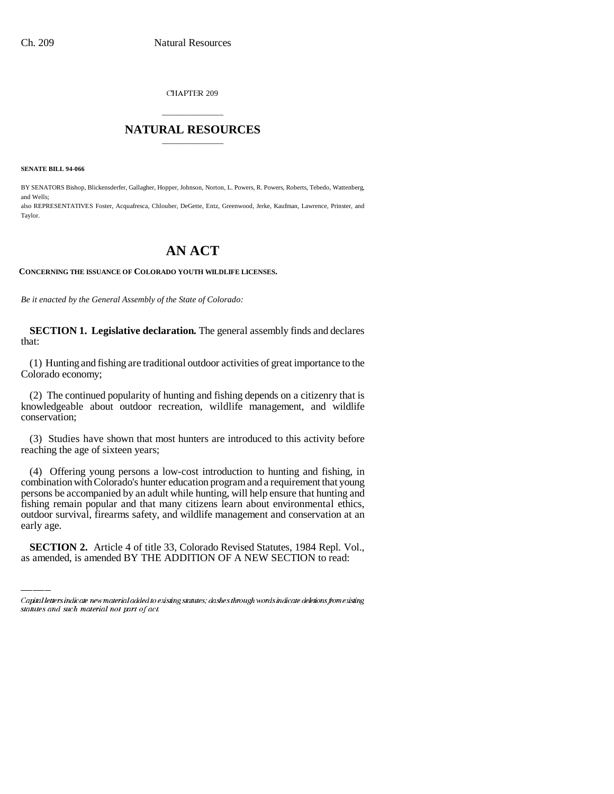CHAPTER 209

## \_\_\_\_\_\_\_\_\_\_\_\_\_\_\_ **NATURAL RESOURCES** \_\_\_\_\_\_\_\_\_\_\_\_\_\_\_

**SENATE BILL 94-066**

BY SENATORS Bishop, Blickensderfer, Gallagher, Hopper, Johnson, Norton, L. Powers, R. Powers, Roberts, Tebedo, Wattenberg, and Wells; also REPRESENTATIVES Foster, Acquafresca, Chlouber, DeGette, Entz, Greenwood, Jerke, Kaufman, Lawrence, Prinster, and Taylor.

## **AN ACT**

## **CONCERNING THE ISSUANCE OF COLORADO YOUTH WILDLIFE LICENSES.**

*Be it enacted by the General Assembly of the State of Colorado:*

**SECTION 1. Legislative declaration.** The general assembly finds and declares that:

(1) Hunting and fishing are traditional outdoor activities of great importance to the Colorado economy;

(2) The continued popularity of hunting and fishing depends on a citizenry that is knowledgeable about outdoor recreation, wildlife management, and wildlife conservation;

(3) Studies have shown that most hunters are introduced to this activity before reaching the age of sixteen years;

outdoor survival, firearms safety, and wildlife management and conservation at an (4) Offering young persons a low-cost introduction to hunting and fishing, in combination with Colorado's hunter education program and a requirement that young persons be accompanied by an adult while hunting, will help ensure that hunting and fishing remain popular and that many citizens learn about environmental ethics, early age.

**SECTION 2.** Article 4 of title 33, Colorado Revised Statutes, 1984 Repl. Vol., as amended, is amended BY THE ADDITION OF A NEW SECTION to read:

Capital letters indicate new material added to existing statutes; dashes through words indicate deletions from existing statutes and such material not part of act.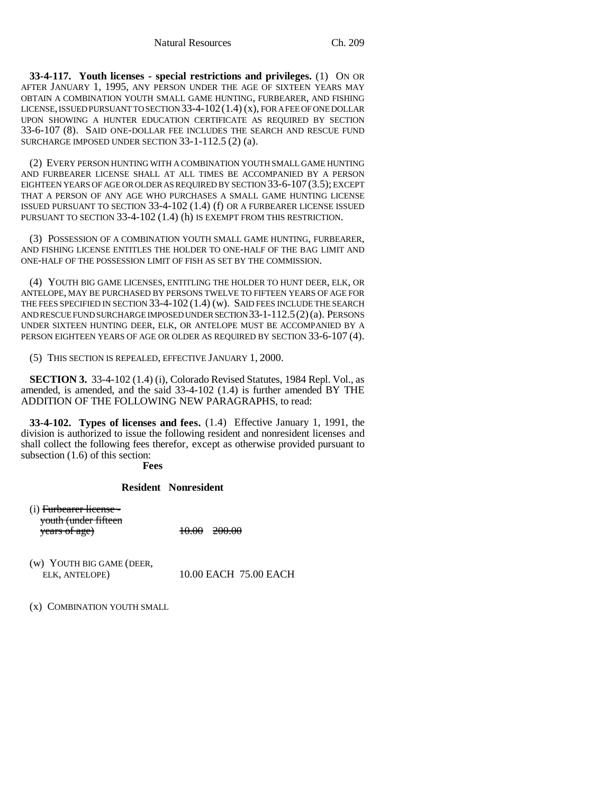**33-4-117. Youth licenses - special restrictions and privileges.** (1) ON OR AFTER JANUARY 1, 1995, ANY PERSON UNDER THE AGE OF SIXTEEN YEARS MAY OBTAIN A COMBINATION YOUTH SMALL GAME HUNTING, FURBEARER, AND FISHING LICENSE, ISSUED PURSUANT TO SECTION 33-4-102  $(1.4)$  (x), FOR A FEE OF ONE DOLLAR UPON SHOWING A HUNTER EDUCATION CERTIFICATE AS REQUIRED BY SECTION 33-6-107 (8). SAID ONE-DOLLAR FEE INCLUDES THE SEARCH AND RESCUE FUND SURCHARGE IMPOSED UNDER SECTION 33-1-112.5 (2) (a).

(2) EVERY PERSON HUNTING WITH A COMBINATION YOUTH SMALL GAME HUNTING AND FURBEARER LICENSE SHALL AT ALL TIMES BE ACCOMPANIED BY A PERSON EIGHTEEN YEARS OF AGE OR OLDER AS REQUIRED BY SECTION 33-6-107 (3.5); EXCEPT THAT A PERSON OF ANY AGE WHO PURCHASES A SMALL GAME HUNTING LICENSE ISSUED PURSUANT TO SECTION 33-4-102 (1.4) (f) OR A FURBEARER LICENSE ISSUED PURSUANT TO SECTION 33-4-102 (1.4) (h) IS EXEMPT FROM THIS RESTRICTION.

(3) POSSESSION OF A COMBINATION YOUTH SMALL GAME HUNTING, FURBEARER, AND FISHING LICENSE ENTITLES THE HOLDER TO ONE-HALF OF THE BAG LIMIT AND ONE-HALF OF THE POSSESSION LIMIT OF FISH AS SET BY THE COMMISSION.

(4) YOUTH BIG GAME LICENSES, ENTITLING THE HOLDER TO HUNT DEER, ELK, OR ANTELOPE, MAY BE PURCHASED BY PERSONS TWELVE TO FIFTEEN YEARS OF AGE FOR THE FEES SPECIFIED IN SECTION 33-4-102 (1.4) (w). SAID FEES INCLUDE THE SEARCH AND RESCUE FUND SURCHARGE IMPOSED UNDER SECTION 33-1-112.5(2)(a). PERSONS UNDER SIXTEEN HUNTING DEER, ELK, OR ANTELOPE MUST BE ACCOMPANIED BY A PERSON EIGHTEEN YEARS OF AGE OR OLDER AS REQUIRED BY SECTION 33-6-107 (4).

(5) THIS SECTION IS REPEALED, EFFECTIVE JANUARY 1, 2000.

**SECTION 3.** 33-4-102 (1.4) (i), Colorado Revised Statutes, 1984 Repl. Vol., as amended, is amended, and the said 33-4-102 (1.4) is further amended BY THE ADDITION OF THE FOLLOWING NEW PARAGRAPHS, to read:

**33-4-102. Types of licenses and fees.** (1.4) Effective January 1, 1991, the division is authorized to issue the following resident and nonresident licenses and shall collect the following fees therefor, except as otherwise provided pursuant to subsection (1.6) of this section:

**Fees**

## **Resident Nonresident**

(i) Furbearer license youth (under fifteen years of age)  $10.00 \t 200.00$ 

(w) YOUTH BIG GAME (DEER, 10.00 EACH 75.00 EACH

(x) COMBINATION YOUTH SMALL